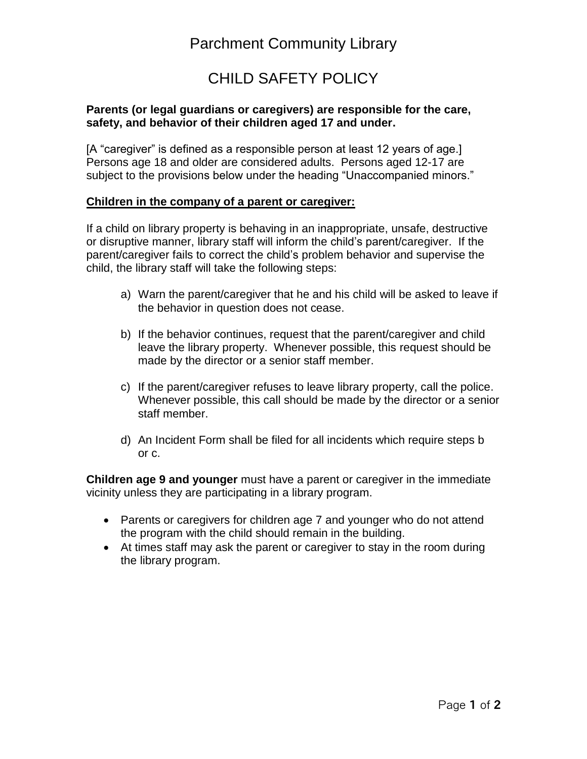# Parchment Community Library

## CHILD SAFETY POLICY

#### **Parents (or legal guardians or caregivers) are responsible for the care, safety, and behavior of their children aged 17 and under.**

[A "caregiver" is defined as a responsible person at least 12 years of age.] Persons age 18 and older are considered adults. Persons aged 12-17 are subject to the provisions below under the heading "Unaccompanied minors."

#### **Children in the company of a parent or caregiver:**

If a child on library property is behaving in an inappropriate, unsafe, destructive or disruptive manner, library staff will inform the child's parent/caregiver. If the parent/caregiver fails to correct the child's problem behavior and supervise the child, the library staff will take the following steps:

- a) Warn the parent/caregiver that he and his child will be asked to leave if the behavior in question does not cease.
- b) If the behavior continues, request that the parent/caregiver and child leave the library property. Whenever possible, this request should be made by the director or a senior staff member.
- c) If the parent/caregiver refuses to leave library property, call the police. Whenever possible, this call should be made by the director or a senior staff member.
- d) An Incident Form shall be filed for all incidents which require steps b or c.

**Children age 9 and younger** must have a parent or caregiver in the immediate vicinity unless they are participating in a library program.

- Parents or caregivers for children age 7 and younger who do not attend the program with the child should remain in the building.
- At times staff may ask the parent or caregiver to stay in the room during the library program.